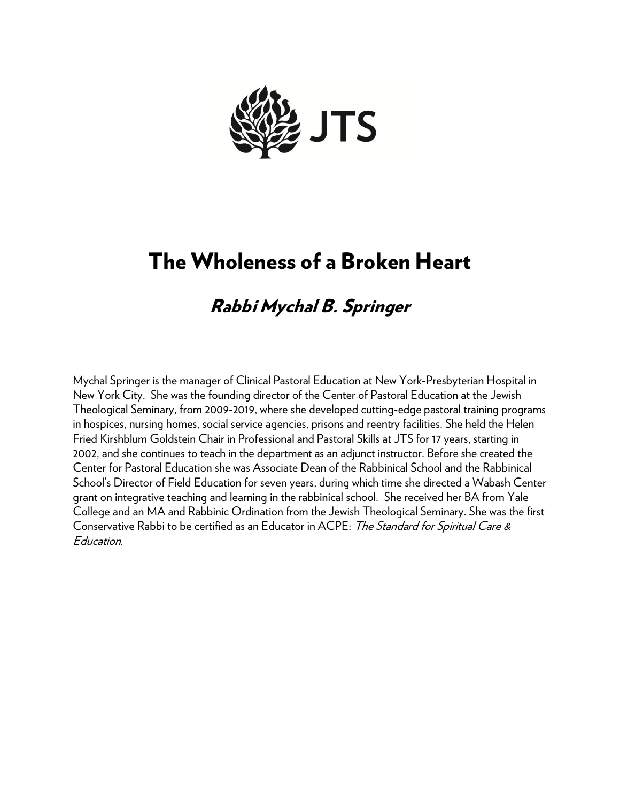

# The Wholeness of a Broken Heart

## Rabbi Mychal B. Springer

Mychal Springer is the manager of Clinical Pastoral Education at New York-Presbyterian Hospital in New York City. She was the founding director of the Center of Pastoral Education at the Jewish Theological Seminary, from 2009-2019, where she developed cutting-edge pastoral training programs in hospices, nursing homes, social service agencies, prisons and reentry facilities. She held the Helen Fried Kirshblum Goldstein Chair in Professional and Pastoral Skills at JTS for 17 years, starting in 2002, and she continues to teach in the department as an adjunct instructor. Before she created the Center for Pastoral Education she was Associate Dean of the Rabbinical School and the Rabbinical School's Director of Field Education for seven years, during which time she directed a Wabash Center grant on integrative teaching and learning in the rabbinical school. She received her BA from Yale College and an MA and Rabbinic Ordination from the Jewish Theological Seminary. She was the first Conservative Rabbi to be certified as an Educator in ACPE: The Standard for Spiritual Care & Education.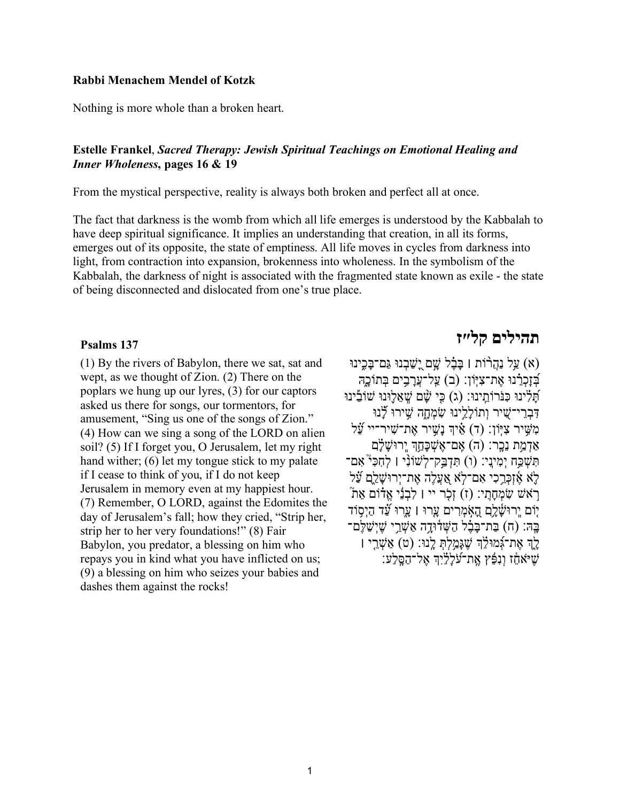#### **Rabbi Menachem Mendel of Kotzk**

Nothing is more whole than a broken heart.

#### **Estelle Frankel**, *Sacred Therapy: Jewish Spiritual Teachings on Emotional Healing and Inner Wholeness***, pages 16 & 19**

From the mystical perspective, reality is always both broken and perfect all at once.

The fact that darkness is the womb from which all life emerges is understood by the Kabbalah to have deep spiritual significance. It implies an understanding that creation, in all its forms, emerges out of its opposite, the state of emptiness. All life moves in cycles from darkness into light, from contraction into expansion, brokenness into wholeness. In the symbolism of the Kabbalah, the darkness of night is associated with the fragmented state known as exile - the state of being disconnected and dislocated from one's true place.

#### **Psalms 137**

(1) By the rivers of Babylon, there we sat, sat and wept, as we thought of Zion. (2) There on the poplars we hung up our lyres, (3) for our captors asked us there for songs, our tormentors, for amusement, "Sing us one of the songs of Zion." (4) How can we sing a song of the LORD on alien soil? (5) If I forget you, O Jerusalem, let my right hand wither; (6) let my tongue stick to my palate if I cease to think of you, if I do not keep Jerusalem in memory even at my happiest hour. (7) Remember, O LORD, against the Edomites the day of Jerusalem's fall; how they cried, "Strip her, strip her to her very foundations!" (8) Fair Babylon, you predator, a blessing on him who repays you in kind what you have inflicted on us; (9) a blessing on him who seizes your babies and dashes them against the rocks!

### **[תהילים](https://www.sefaria.org/Psalms.137) [קל״ ז](https://www.sefaria.org/Psalms.137)**

(א) עַל נַהֲרוֹת ו בַּבֶ֫ל שֵׁם יֵשַׁבְנוּ גַּם־בַּבְינוּ) בְּוָבְנוּ אֶת־צִיּֽוֹן: (ב) עֲל־עֲרָבֶים בְּתוֹכֵהּ תִּׁלִּינוּ כִּנֹרוֹתֵינוּ: (ג) כֵּי שֵׁׁם שֵׁאֲלֶוּנוּ שׁוֹבֵינוּ דִּ בְרֵי־שֵׁיר וְתוֹלָלֵינוּ שָׂמְחֵָה שֵׁירוּ לָנוּ מִ צִיּוֹן: (ד) אֶיךְ נַשֵׁיר אֶת־שִׁיר־יי עַ֫ל אַ דְמַת נֵכֶר: (ה) אָם־אֶשֶׁכָּחֵ<del>ן</del> יְרוּשָׁלָָם תִּ שְׁכָּח יִמְינֵי: (ו) תִּדְבַּק־לְשׁוֹנִי | לְחָכִ<sup>ּ</sup> אָם־ לֹא אֶֿזְכָּרֵכִי אִם־לֹא אֲעֲלֶה אֶת־יְרוּשֵׁלֵם עַׁל ֿרְאֹשׁ שִׂמְחָתִי: (ז) זְכָר יי ו לִבְנֵי אֱדֹוֹם אֵת יִוֹם יֶרוּשַׁלֵם הָאָמְרִים עַרוּ | עַרוּ עַד הַיִסְוֹד בֵּה׃ (ח) בַּת־בַּבֶ֫ל הַשָּׁדוּדֵה אַשְׁרֵי שֵׁיִשַׁלֵּם־ לְךְ אֶת־גָּמוּלֶךְ שֶׁגַּמֵלְתְּ לָנוּ: (ט) אַשְׁרֵי **|** שֶׁ יֹּאחֵ֓ ז וְ נִפֵּ֬ ץ אֶֽ ת־עֹ֝ לָלַ֗ יִ� אֶ ל־הַ סָּֽ לַע׃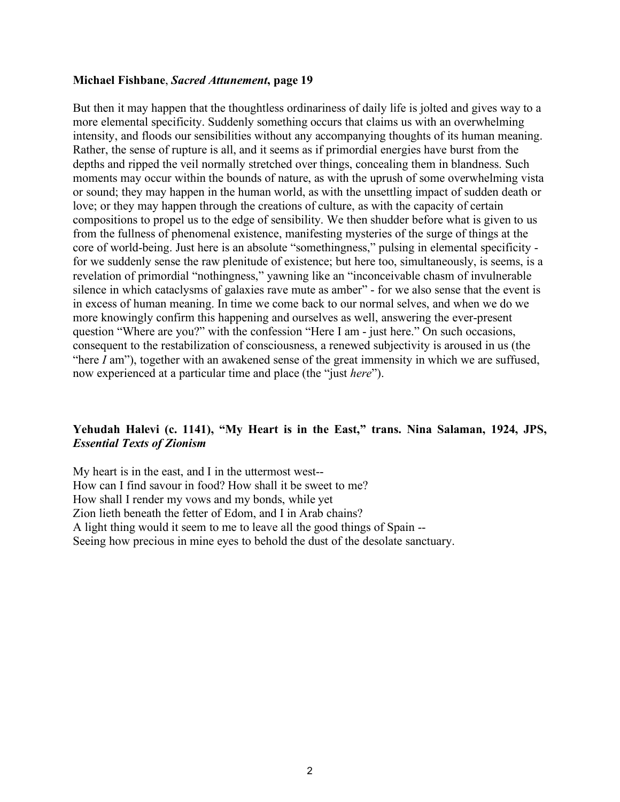#### **Michael Fishbane**, *Sacred Attunement***, page 19**

But then it may happen that the thoughtless ordinariness of daily life is jolted and gives way to a more elemental specificity. Suddenly something occurs that claims us with an overwhelming intensity, and floods our sensibilities without any accompanying thoughts of its human meaning. Rather, the sense of rupture is all, and it seems as if primordial energies have burst from the depths and ripped the veil normally stretched over things, concealing them in blandness. Such moments may occur within the bounds of nature, as with the uprush of some overwhelming vista or sound; they may happen in the human world, as with the unsettling impact of sudden death or love; or they may happen through the creations of culture, as with the capacity of certain compositions to propel us to the edge of sensibility. We then shudder before what is given to us from the fullness of phenomenal existence, manifesting mysteries of the surge of things at the core of world-being. Just here is an absolute "somethingness," pulsing in elemental specificity for we suddenly sense the raw plenitude of existence; but here too, simultaneously, is seems, is a revelation of primordial "nothingness," yawning like an "inconceivable chasm of invulnerable silence in which cataclysms of galaxies rave mute as amber" - for we also sense that the event is in excess of human meaning. In time we come back to our normal selves, and when we do we more knowingly confirm this happening and ourselves as well, answering the ever-present question "Where are you?" with the confession "Here I am - just here." On such occasions, consequent to the restabilization of consciousness, a renewed subjectivity is aroused in us (the "here *I* am"), together with an awakened sense of the great immensity in which we are suffused, now experienced at a particular time and place (the "just *here*").

#### **Yehudah Halevi (c. 1141), "My Heart is in the East," trans. Nina Salaman, 1924, JPS,**  *Essential Texts of Zionism*

My heart is in the east, and I in the uttermost west-- How can I find savour in food? How shall it be sweet to me? How shall I render my vows and my bonds, while yet Zion lieth beneath the fetter of Edom, and I in Arab chains? A light thing would it seem to me to leave all the good things of Spain -- Seeing how precious in mine eyes to behold the dust of the desolate sanctuary.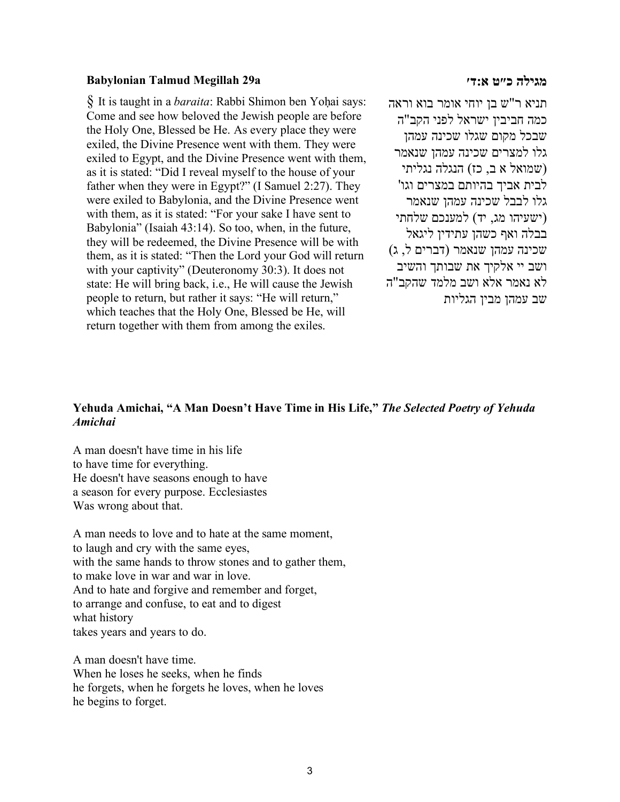#### **Babylonian Talmud Megillah 29a**

§ It is taught in a *baraita*: Rabbi Shimon ben Yoḥai says: Come and see how beloved the Jewish people are before the Holy One, Blessed be He. As every place they were exiled, the Divine Presence went with them. They were exiled to Egypt, and the Divine Presence went with them, as it is stated: "Did I reveal myself to the house of your father when they were in Egypt?" (I Samuel 2:27). They were exiled to Babylonia, and the Divine Presence went with them, as it is stated: "For your sake I have sent to Babylonia" (Isaiah 43:14). So too, when, in the future, they will be redeemed, the Divine Presence will be with them, as it is stated: "Then the Lord your God will return with your captivity" (Deuteronomy 30:3). It does not state: He will bring back, i.e., He will cause the Jewish people to return, but rather it says: "He will return," which teaches that the Holy One, Blessed be He, will return together with them from among the exiles.

#### **מגילה כ״ט א:ד׳**

תניא ר"ש בן יוחי אומר בוא וראה כמה חביבין ישראל לפני הקב"ה שבכל מקום שגלו שכינה עמהן גלו למצרים שכינה עמהן שנאמר (שמואל א ב, כז) הנגלה נגליתי לבית אביך בהיותם במצרים וגו' גלו לבבל שכינה עמהן שנאמר (ישעיהו מג, יד) למענכם שלחתי בבלה ואף כשהן עתידין ליגאל שכינה עמהן שנאמר (דברים ל, ג) ושב יי אלקיך את שבותך והשיב לא נאמר אלא ושב מלמד שהקב"ה שב עמהן מבין הגליות

#### **Yehuda Amichai, "A Man Doesn't Have Time in His Life,"** *[The Selected Poetry of Yehuda](https://www.goodreads.com/work/quotes/180269)  [Amichai](https://www.goodreads.com/work/quotes/180269)*

A man doesn't have time in his life to have time for everything. He doesn't have seasons enough to have a season for every purpose. Ecclesiastes Was wrong about that.

A man needs to love and to hate at the same moment, to laugh and cry with the same eyes, with the same hands to throw stones and to gather them, to make love in war and war in love. And to hate and forgive and remember and forget, to arrange and confuse, to eat and to digest what history takes years and years to do.

A man doesn't have time. When he loses he seeks, when he finds he forgets, when he forgets he loves, when he loves he begins to forget.